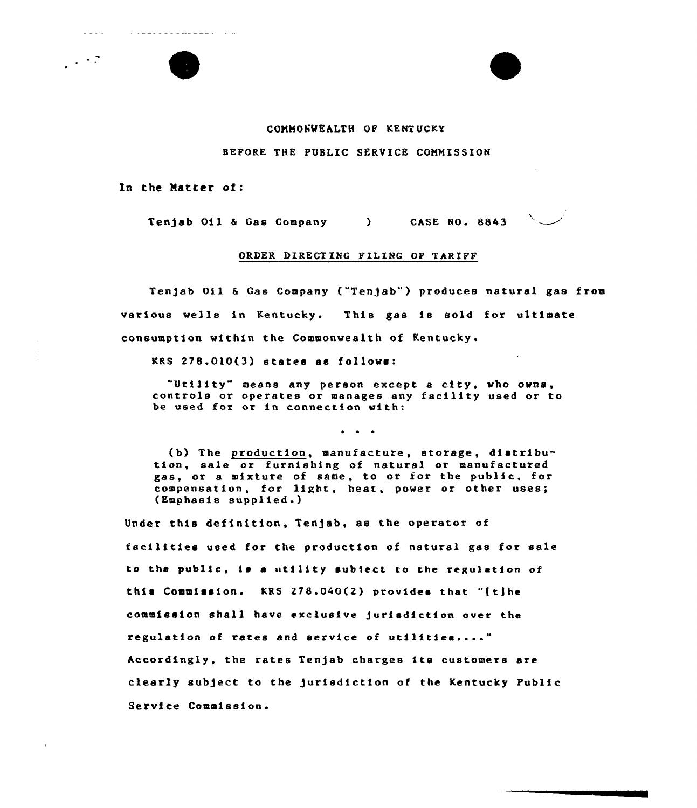## COMMONWEALTH OF KENTUCKY

## BEFORE THE PUBLIC SERVICE COMMISSION

In the Hatter of:

the component of the contract of the contract of the contract of the contract of the contract of the contract of

 $\omega_{\rm c}$  and  $\omega_{\rm c}$ 

 $\sim$   $\sim$  7

Tenjab 011 & Gas Company (CASE NO. 8843)

## ORDER DIRECTING FILING OF TARIFF

Tenjab Oil & Gas Company ("Tenjab") produces natural gas from various wells in Kentucky. This gas is sold for ultimate consumption within the Commonwealth of Kentucky.

KRS 278.0lO(3) states as follows:

"Util1ty" means any person except <sup>a</sup> city, who owns, controls or operates or manages any facility used or to be used for ar in connection w1th:

 $\ddot{\bullet}$   $\ddot{\bullet}$   $\ddot{\bullet}$ 

(b) The production, manufacture, storage, distribution, sale or furnishing of natural or manufactured gas, or a mixture of same, to or for the public, for compensation, for light, heat, power or other uses; (Emphasis supplied.)

Under this definition, Tenjab, as the operator of facilities used for the production of natural gas for sale to the public, is a utility subject to the regulation of this Commission. KRS 278.040(2) provides that "(t)he commission shall have exclusive jurisdiction over the regulation of rates and service of utilities...." hccordingly, the rates Ten)ab charges its customers are clearly sub)ect to the )urlsdiction of the Kentucky Public Service Commiss1on.